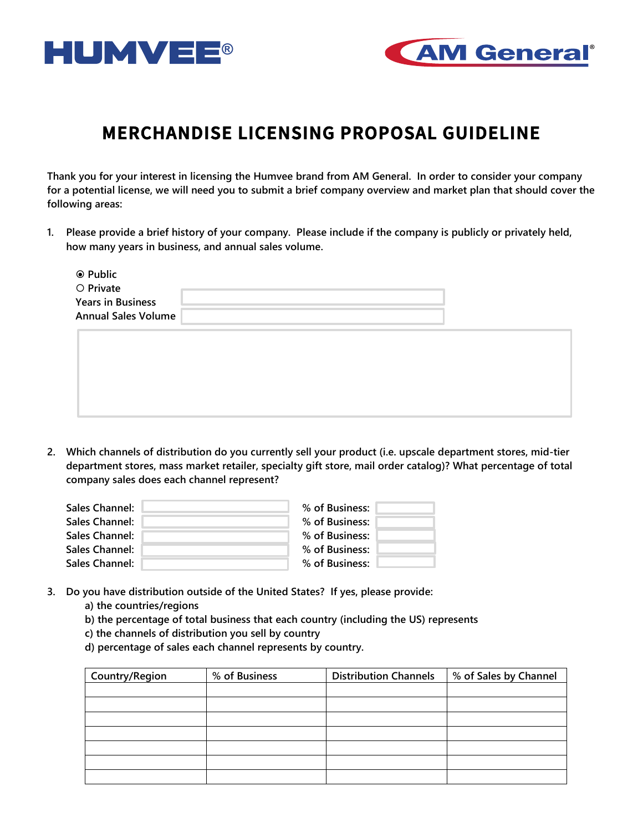



## **MERCHANDISE LICENSING PROPOSAL GUIDELINE**

**Thank you for your interest in licensing the Humvee brand from AM General. In order to consider your company for a potential license, we will need you to submit a brief company overview and market plan that should cover the following areas:**

**1. Please provide a brief history of your company. Please include if the company is publicly or privately held, how many years in business, and annual sales volume.**

| <b>◎ Public</b><br>O Private<br><b>Years in Business</b><br><b>Annual Sales Volume</b> |  |  |  |
|----------------------------------------------------------------------------------------|--|--|--|
|                                                                                        |  |  |  |

**2. Which channels of distribution do you currently sell your product (i.e. upscale department stores, mid-tier department stores, mass market retailer, specialty gift store, mail order catalog)? What percentage of total company sales does each channel represent?**

| Sales Channel:        | % of Business: |  |
|-----------------------|----------------|--|
| <b>Sales Channel:</b> | % of Business: |  |
| Sales Channel:        | % of Business: |  |
| <b>Sales Channel:</b> | % of Business: |  |
| Sales Channel:        | % of Business: |  |

- **3. Do you have distribution outside of the United States? If yes, please provide:**
	- **a) the countries/regions**
	- **b) the percentage of total business that each country (including the US) represents**
	- **c) the channels of distribution you sell by country**
	- **d) percentage of sales each channel represents by country.**

| <b>Country/Region</b> | % of Business | <b>Distribution Channels</b> | % of Sales by Channel |
|-----------------------|---------------|------------------------------|-----------------------|
|                       |               |                              |                       |
|                       |               |                              |                       |
|                       |               |                              |                       |
|                       |               |                              |                       |
|                       |               |                              |                       |
|                       |               |                              |                       |
|                       |               |                              |                       |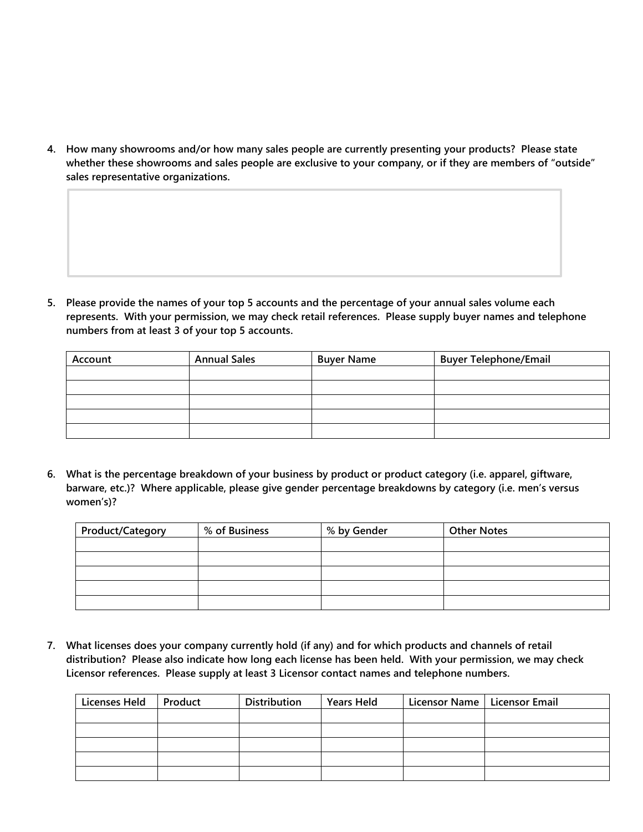**4. How many showrooms and/or how many sales people are currently presenting your products? Please state whether these showrooms and sales people are exclusive to your company, or if they are members of "outside" sales representative organizations.**

**5. Please provide the names of your top 5 accounts and the percentage of your annual sales volume each represents. With your permission, we may check retail references. Please supply buyer names and telephone numbers from at least 3 of your top 5 accounts.** 

| Account | <b>Annual Sales</b> | <b>Buyer Name</b> | <b>Buyer Telephone/Email</b> |
|---------|---------------------|-------------------|------------------------------|
|         |                     |                   |                              |
|         |                     |                   |                              |
|         |                     |                   |                              |
|         |                     |                   |                              |
|         |                     |                   |                              |

**6. What is the percentage breakdown of your business by product or product category (i.e. apparel, giftware, barware, etc.)? Where applicable, please give gender percentage breakdowns by category (i.e. men's versus women's)?** 

| Product/Category | % of Business | % by Gender | <b>Other Notes</b> |
|------------------|---------------|-------------|--------------------|
|                  |               |             |                    |
|                  |               |             |                    |
|                  |               |             |                    |
|                  |               |             |                    |
|                  |               |             |                    |

**7. What licenses does your company currently hold (if any) and for which products and channels of retail distribution? Please also indicate how long each license has been held. With your permission, we may check Licensor references. Please supply at least 3 Licensor contact names and telephone numbers.**

| <b>Licenses Held</b> | Product | Distribution | <b>Years Held</b> | Licensor Name   Licensor Email |  |
|----------------------|---------|--------------|-------------------|--------------------------------|--|
|                      |         |              |                   |                                |  |
|                      |         |              |                   |                                |  |
|                      |         |              |                   |                                |  |
|                      |         |              |                   |                                |  |
|                      |         |              |                   |                                |  |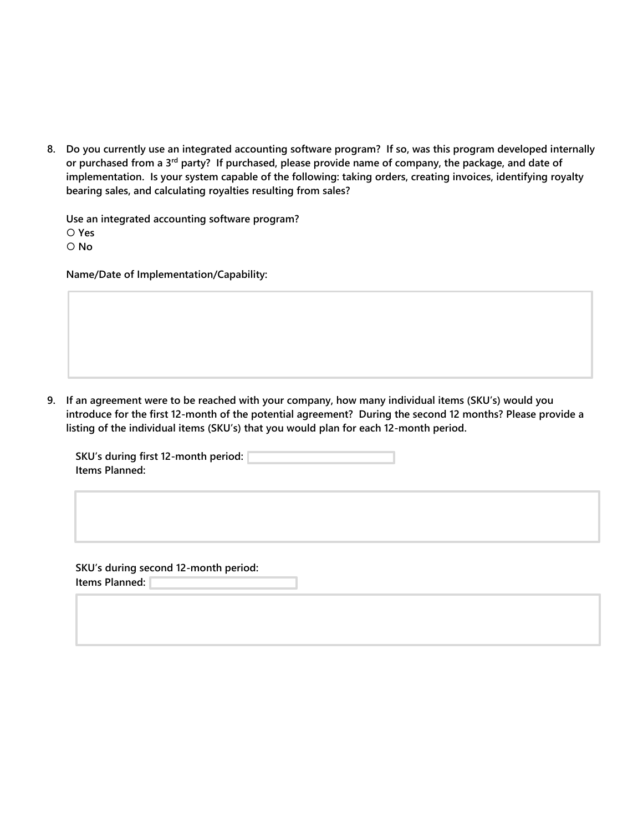**8. Do you currently use an integrated accounting software program? If so, was this program developed internally or purchased from a 3rd party? If purchased, please provide name of company, the package, and date of implementation. Is your system capable of the following: taking orders, creating invoices, identifying royalty bearing sales, and calculating royalties resulting from sales?**

**Use an integrated accounting software program? Yes No**

**Name/Date of Implementation/Capability:**

**9. If an agreement were to be reached with your company, how many individual items (SKU's) would you introduce for the first 12-month of the potential agreement? During the second 12 months? Please provide a listing of the individual items (SKU's) that you would plan for each 12-month period.**

| SKU's during first 12-month period: |  |
|-------------------------------------|--|
| Items Planned:                      |  |

**SKU's during second 12-month period: Items Planned:**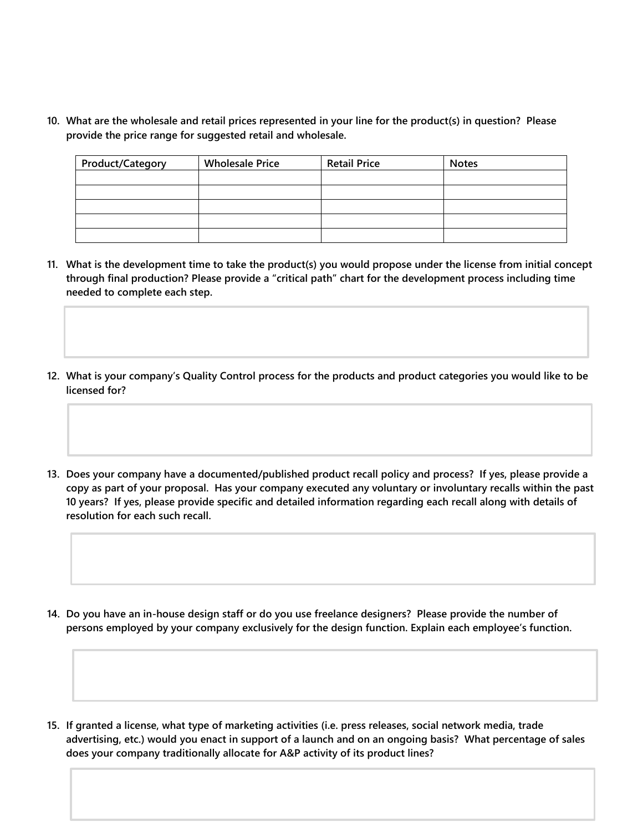**10. What are the wholesale and retail prices represented in your line for the product(s) in question? Please provide the price range for suggested retail and wholesale.**

| <b>Product/Category</b> | <b>Wholesale Price</b> | <b>Retail Price</b> | <b>Notes</b> |
|-------------------------|------------------------|---------------------|--------------|
|                         |                        |                     |              |
|                         |                        |                     |              |
|                         |                        |                     |              |
|                         |                        |                     |              |
|                         |                        |                     |              |

- **11. What is the development time to take the product(s) you would propose under the license from initial concept through final production? Please provide a "critical path" chart for the development process including time needed to complete each step.**
- **12. What is your company's Quality Control process for the products and product categories you would like to be licensed for?**
- **13. Does your company have a documented/published product recall policy and process? If yes, please provide a copy as part of your proposal. Has your company executed any voluntary or involuntary recalls within the past 10 years? If yes, please provide specific and detailed information regarding each recall along with details of resolution for each such recall.**

**14. Do you have an in-house design staff or do you use freelance designers? Please provide the number of persons employed by your company exclusively for the design function. Explain each employee's function.**

**15. If granted a license, what type of marketing activities (i.e. press releases, social network media, trade advertising, etc.) would you enact in support of a launch and on an ongoing basis? What percentage of sales does your company traditionally allocate for A&P activity of its product lines?**